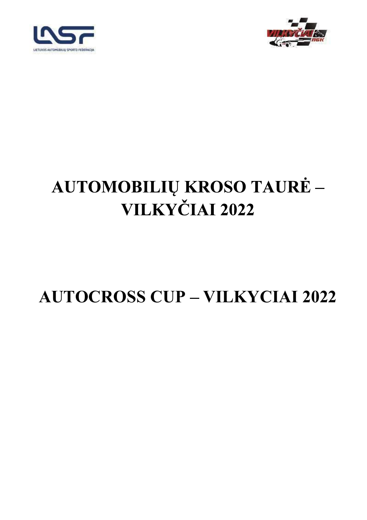



## AUTOMOBILIŲ KROSO TAURĖ -VILKYČIAI 2022

## **AUTOCROSS CUP - VILKYCIAI 2022**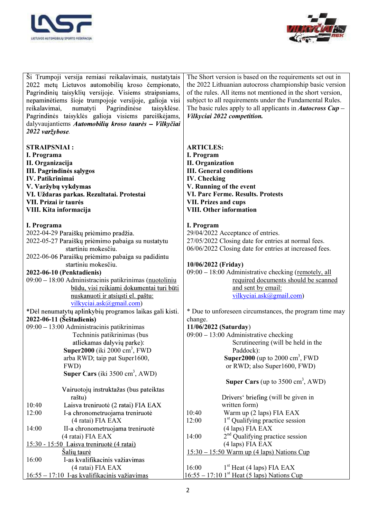



| Ši Trumpoji versija remiasi reikalavimais, nustatytais<br>2022 metų Lietuvos automobilių kroso čempionato,<br>Pagrindinių taisyklių versijoje. Visiems straipsniams,<br>nepaminėtiems šioje trumpojoje versijoje, galioja visi<br>Pagrindinėse<br>reikalavimai,<br>numatyti<br>taisyklėse.<br>Pagrindinės taisyklės galioja visiems pareiškėjams,<br>dalyvaujantiems Automobilių kroso taurės - Vilkyčiai<br>2022 varžybose. | The Short version is based on the requirements set out in<br>the 2022 Lithuanian autocross championship basic version<br>of the rules. All items not mentioned in the short version,<br>subject to all requirements under the Fundamental Rules.<br>The basic rules apply to all applicants in <i>Autocross Cup</i> $-$<br>Vilkyciai 2022 competition. |
|------------------------------------------------------------------------------------------------------------------------------------------------------------------------------------------------------------------------------------------------------------------------------------------------------------------------------------------------------------------------------------------------------------------------------|--------------------------------------------------------------------------------------------------------------------------------------------------------------------------------------------------------------------------------------------------------------------------------------------------------------------------------------------------------|
|                                                                                                                                                                                                                                                                                                                                                                                                                              |                                                                                                                                                                                                                                                                                                                                                        |
| <b>STRAIPSNIAI:</b>                                                                                                                                                                                                                                                                                                                                                                                                          | <b>ARTICLES:</b>                                                                                                                                                                                                                                                                                                                                       |
| I. Programa                                                                                                                                                                                                                                                                                                                                                                                                                  | I. Program                                                                                                                                                                                                                                                                                                                                             |
| II. Organizacija                                                                                                                                                                                                                                                                                                                                                                                                             | <b>II.</b> Organization                                                                                                                                                                                                                                                                                                                                |
| III. Pagrindinės sąlygos                                                                                                                                                                                                                                                                                                                                                                                                     | <b>III.</b> General conditions                                                                                                                                                                                                                                                                                                                         |
| <b>IV.</b> Patikrinimai                                                                                                                                                                                                                                                                                                                                                                                                      | <b>IV.</b> Checking                                                                                                                                                                                                                                                                                                                                    |
| V. Varžybų vykdymas                                                                                                                                                                                                                                                                                                                                                                                                          | V. Running of the event<br><b>VI. Parc Ferme. Results. Protests</b>                                                                                                                                                                                                                                                                                    |
| VI. Uždaras parkas. Rezultatai. Protestai<br>VII. Prizai ir taurės                                                                                                                                                                                                                                                                                                                                                           | <b>VII. Prizes and cups</b>                                                                                                                                                                                                                                                                                                                            |
| VIII. Kita informacija                                                                                                                                                                                                                                                                                                                                                                                                       | <b>VIII. Other information</b>                                                                                                                                                                                                                                                                                                                         |
|                                                                                                                                                                                                                                                                                                                                                                                                                              |                                                                                                                                                                                                                                                                                                                                                        |
| I. Programa                                                                                                                                                                                                                                                                                                                                                                                                                  | I. Program                                                                                                                                                                                                                                                                                                                                             |
| 2022-04-29 Paraiškų priėmimo pradžia.                                                                                                                                                                                                                                                                                                                                                                                        | 29/04/2022 Acceptance of entries.                                                                                                                                                                                                                                                                                                                      |
| 2022-05-27 Paraiškų priėmimo pabaiga su nustatytu                                                                                                                                                                                                                                                                                                                                                                            | 27/05/2022 Closing date for entries at normal fees.                                                                                                                                                                                                                                                                                                    |
| startiniu mokesčiu.                                                                                                                                                                                                                                                                                                                                                                                                          | 06/06/2022 Closing date for entries at increased fees.                                                                                                                                                                                                                                                                                                 |
| 2022-06-06 Paraiškų priėmimo pabaiga su padidintu                                                                                                                                                                                                                                                                                                                                                                            |                                                                                                                                                                                                                                                                                                                                                        |
| startiniu mokesčiu.                                                                                                                                                                                                                                                                                                                                                                                                          | 10/06/2022 (Friday)                                                                                                                                                                                                                                                                                                                                    |
| 2022-06-10 (Penktadienis)                                                                                                                                                                                                                                                                                                                                                                                                    | 09:00 - 18:00 Administrative checking (remotely, all                                                                                                                                                                                                                                                                                                   |
| 09:00 - 18:00 Administracinis patikrinimas (nuotoliniu                                                                                                                                                                                                                                                                                                                                                                       | required documents should be scanned                                                                                                                                                                                                                                                                                                                   |
| būdu, visi reikiami dokumentai turi būti                                                                                                                                                                                                                                                                                                                                                                                     | and sent by email:                                                                                                                                                                                                                                                                                                                                     |
| nuskanuoti ir atsiųsti el. paštu:<br>vilkyciai.ask@gmail.com)                                                                                                                                                                                                                                                                                                                                                                | vilkyciai.ask@gmail.com)                                                                                                                                                                                                                                                                                                                               |
| *Dėl nenumatytų aplinkybių programos laikas gali kisti.                                                                                                                                                                                                                                                                                                                                                                      | * Due to unforeseen circumstances, the program time may                                                                                                                                                                                                                                                                                                |
| 2022-06-11 (Šeštadienis)                                                                                                                                                                                                                                                                                                                                                                                                     | change.                                                                                                                                                                                                                                                                                                                                                |
| 09:00 - 13:00 Administracinis patikrinimas                                                                                                                                                                                                                                                                                                                                                                                   | 11/06/2022 (Saturday)                                                                                                                                                                                                                                                                                                                                  |
| Techninis patikrinimas (bus                                                                                                                                                                                                                                                                                                                                                                                                  | $09:00 - 13:00$ Administrative checking                                                                                                                                                                                                                                                                                                                |
| atliekamas dalyvių parke):                                                                                                                                                                                                                                                                                                                                                                                                   | Scrutineering (will be held in the                                                                                                                                                                                                                                                                                                                     |
| Super2000 (iki 2000 cm <sup>3</sup> , FWD                                                                                                                                                                                                                                                                                                                                                                                    | Paddock):                                                                                                                                                                                                                                                                                                                                              |
| arba RWD; taip pat Super1600,                                                                                                                                                                                                                                                                                                                                                                                                | <b>Super2000</b> (up to 2000 cm <sup>3</sup> , FWD                                                                                                                                                                                                                                                                                                     |
| FWD)                                                                                                                                                                                                                                                                                                                                                                                                                         | or RWD; also Super1600, FWD)                                                                                                                                                                                                                                                                                                                           |
| Super Cars (iki 3500 cm <sup>3</sup> , AWD)                                                                                                                                                                                                                                                                                                                                                                                  |                                                                                                                                                                                                                                                                                                                                                        |
|                                                                                                                                                                                                                                                                                                                                                                                                                              | <b>Super Cars</b> (up to $3500 \text{ cm}^3$ , AWD)                                                                                                                                                                                                                                                                                                    |
| Vairuotojų instruktažas (bus pateiktas                                                                                                                                                                                                                                                                                                                                                                                       |                                                                                                                                                                                                                                                                                                                                                        |
| raštu)<br>Laisva treniruotė (2 ratai) FIA EAX<br>10:40                                                                                                                                                                                                                                                                                                                                                                       | Drivers' briefing (will be given in<br>written form)                                                                                                                                                                                                                                                                                                   |
| 12:00<br>I-a chronometruojama treniruotė                                                                                                                                                                                                                                                                                                                                                                                     | Warm up (2 laps) FIA EAX<br>10:40                                                                                                                                                                                                                                                                                                                      |
| (4 ratai) FIA EAX                                                                                                                                                                                                                                                                                                                                                                                                            | 12:00<br>1 <sup>st</sup> Qualifying practice session                                                                                                                                                                                                                                                                                                   |
| 14:00<br>II-a chronometruojama treniruotė                                                                                                                                                                                                                                                                                                                                                                                    | (4 laps) FIA EAX                                                                                                                                                                                                                                                                                                                                       |
| (4 ratai) FIA EAX                                                                                                                                                                                                                                                                                                                                                                                                            | $2nd$ Qualifying practice session<br>14:00                                                                                                                                                                                                                                                                                                             |
| 15:30 - 15:50 Laisva treniruotė (4 ratai)                                                                                                                                                                                                                                                                                                                                                                                    | (4 laps) FIA EAX                                                                                                                                                                                                                                                                                                                                       |
| Salių taurė                                                                                                                                                                                                                                                                                                                                                                                                                  | $15:30 - 15:50$ Warm up (4 laps) Nations Cup                                                                                                                                                                                                                                                                                                           |
| 16:00<br>I-as kvalifikacinis važiavimas                                                                                                                                                                                                                                                                                                                                                                                      |                                                                                                                                                                                                                                                                                                                                                        |
| (4 ratai) FIA EAX                                                                                                                                                                                                                                                                                                                                                                                                            | $1st$ Heat (4 laps) FIA EAX<br>16:00                                                                                                                                                                                                                                                                                                                   |
| 16:55 – 17:10 I-as kvalifikacinis važiavimas                                                                                                                                                                                                                                                                                                                                                                                 | $16:55 - 17:10$ 1 <sup>st</sup> Heat (5 laps) Nations Cup                                                                                                                                                                                                                                                                                              |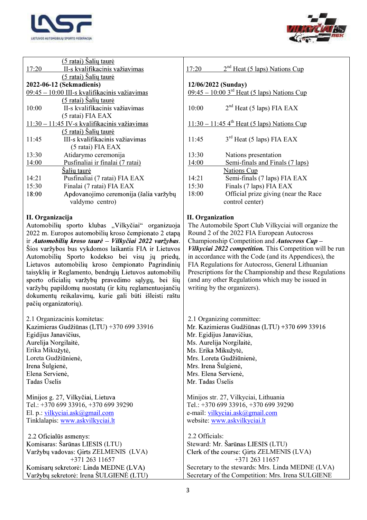



| <u>(5 ratai) Šalių taurė</u>                           |                                                           |
|--------------------------------------------------------|-----------------------------------------------------------|
| II-s kvalifikacinis važiavimas<br>17:20                | $2nd$ Heat (5 laps) Nations Cup<br>17:20                  |
| (5 ratai) Šalių taurė                                  |                                                           |
| 2022-06-12 (Sekmadienis)                               | 12/06/2022 (Sunday)                                       |
| 09:45 - 10:00 III-s kvalifikacinis važiavimas          | $09:45 - 10:003rd$ Heat (5 laps) Nations Cup              |
| (5 ratai) Šalių taurė                                  |                                                           |
| II-s kvalifikacinis važiavimas<br>10:00                | $2nd$ Heat (5 laps) FIA EAX<br>10:00                      |
| (5 ratai) FIA EAX                                      |                                                           |
| 11:30 - 11:45 IV-s kvalifikacinis važiavimas           | $11:30 - 11:45$ 4 <sup>th</sup> Heat (5 laps) Nations Cup |
| <u>(5 ratai) Šalių taurė</u>                           |                                                           |
| III-s kvalifikacinis važiavimas                        |                                                           |
| 11:45                                                  | $3rd$ Heat (5 laps) FIA EAX<br>11:45                      |
| (5 ratai) FIA EAX                                      |                                                           |
| Atidarymo ceremonija<br>13:30                          | 13:30<br>Nations presentation                             |
| 14:00<br>Pusfinaliai ir finalai (7 ratai)              | 14:00<br>Semi-finals and Finals (7 laps)                  |
| <u>Šalių taurė</u>                                     | <b>Nations Cup</b>                                        |
| 14:21<br>Pusfinaliai (7 ratai) FIA EAX                 | Semi-finals (7 laps) FIA EAX<br>14:21                     |
| Finalai (7 ratai) FIA EAX<br>15:30                     | 15:30<br>Finals (7 laps) FIA EAX                          |
| Apdovanojimo ceremonija (šalia varžybų<br>18:00        | 18:00<br>Official prize giving (near the Race             |
| valdymo centro)                                        | control center)                                           |
|                                                        |                                                           |
| II. Organizacija                                       | <b>II.</b> Organization                                   |
| Automobilių sporto klubas "Vilkyčiai" organizuoja      | The Automobile Sport Club Vilkyciai will organize the     |
| 2022 m. Europos automobilių kroso čempionato 2 etapą   | Round 2 of the 2022 FIA European Autocross                |
| ir Automobilių kroso taurė – Vilkyčiai 2022 varžybas.  | Championship Competition and Autocross Cup-               |
| Šios varžybos bus vykdomos laikantis FIA ir Lietuvos   | Vilkyciai 2022 competition. This Competition will be run  |
| Automobilių Sporto kodekso bei visų jų priedų,         | in accordance with the Code (and its Appendices), the     |
| Lietuvos automobilių kroso čempionato Pagrindinių      | FIA Regulations for Autocross, General Lithuanian         |
| taisyklių ir Reglamento, bendrųjų Lietuvos automobilių | Prescriptions for the Championship and these Regulations  |
| sporto oficialių varžybų pravedimo sąlygų, bei šių     | (and any other Regulations which may be issued in         |
|                                                        |                                                           |
| varžybų papildomų nuostatų (ir kitų reglamentuojančių  | writing by the organizers).                               |
| dokumentų reikalavimų, kurie gali būti išleisti raštu  |                                                           |
| pačių organizatorių).                                  |                                                           |
|                                                        |                                                           |
| 2.1 Organizacinis komitetas:                           | 2.1 Organizing committee:                                 |
| Kazimieras Gudžiūnas (LTU) +370 699 33916              | Mr. Kazimieras Gudžiūnas (LTU) +370 699 33916             |
| Egidijus Janavičius,                                   | Mr. Egidijus Janavičius,                                  |
| Aurelija Norgilaitė,                                   | Ms. Aurelija Norgilaitė,                                  |
| Erika Mikužytė,                                        | Ms. Erika Mikužytė,                                       |
| Loreta Gudžiūnienė,                                    | Mrs. Loreta Gudžiūnienė,                                  |
| Irena Šulgienė,                                        | Mrs. Irena Šulgienė,                                      |
| Elena Servienė,                                        | Mrs. Elena Servienė,                                      |
| Tadas Uselis                                           | Mr. Tadas Uselis                                          |
|                                                        |                                                           |
| Minijos g. 27, Vilkyčiai, Lietuva                      | Minijos str. 27, Vilkyciai, Lithuania                     |
| Tel.: +370 699 33916, +370 699 39290                   | Tel.: +370 699 33916, +370 699 39290                      |
| El. p.: vilkyciai.ask@gmail.com                        | e-mail: vilkyciai.ask@gmail.com                           |
| Tinklalapis: www.askvilkyciai.lt                       | website: www.askvilkyciai.lt                              |
|                                                        |                                                           |
| 2.2 Oficialus asmenys:                                 | 2.2 Officials:                                            |
| Komisaras: Šarūnas LIESIS (LTU)                        | Steward: Mr. Šarūnas LIESIS (LTU)                         |
| Varžybų vadovas: Girts ZELMENIS (LVA)                  | Clerk of the course: Girts ZELMENIS (LVA)                 |
| +371 263 11657                                         | +371 263 11657                                            |
| Komisarų sekretorė: Linda MEDNE (LVA)                  | Secretary to the stewards: Mrs. Linda MEDNE (LVA)         |
| Varžybų sekretorė: Irena ŠULGIENĖ (LTU)                | Secretary of the Competition: Mrs. Irena SULGIENE         |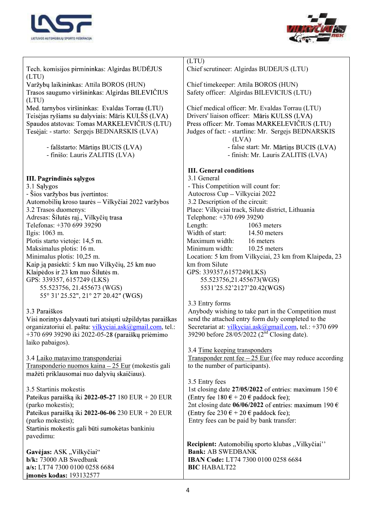



| (LTU)<br>Chief scrutineer: Algirdas BUDEJUS (LTU)<br>Tech. komisijos pirmininkas: Algirdas BUDEJUS<br>(LTU)<br>Varžybų laikininkas: Attila BOROS (HUN)<br>Chief timekeeper: Attila BOROS (HUN)<br>Safety officer: Algirdas BILEVICIUS (LTU)<br>Trasos saugumo viršininkas: Algirdas BILEVIČIUS<br>(LTU)<br>Med. tarnybos viršininkas: Evaldas Torrau (LTU)<br>Chief medical officer: Mr. Evaldas Torrau (LTU)<br>Teisėjas ryšiams su dalyviais: Māris KULŠS (LVA)<br>Drivers' liaison officer: Māris KULSS (LVA)<br>Spaudos atstovas: Tomas MARKELEVIČIUS (LTU)<br>Press officer: Mr. Tomas MARKELEVIČIUS (LTU)<br>Tesėjai: - starto: Sergejs BEDNARSKIS (LVA)<br>Judges of fact: - startline: Mr. Sergejs BEDNARSKIS<br>(LVA)<br>- false start: Mr. Mārtiņs BUCIS (LVA)<br>- falšstarto: Mārtiņs BUCIS (LVA)<br>- finišo: Lauris ZALITIS (LVA)<br>- finish: Mr. Lauris ZALITIS (LVA)<br><b>III.</b> General conditions<br>3.1 General<br>III. Pagrindinės sąlygos<br>3.1 Sąlygos<br>- This Competition will count for:<br>- Šios varžybos bus įvertintos:<br>Autocross Cup - Vilkyciai 2022<br>Automobilių kroso taurės - Vilkyčiai 2022 varžybos<br>3.2 Description of the circuit:<br>Place: Vilkyciai track, Silute district, Lithuania<br>3.2 Trasos duomenys:<br>Adresas: Šilutės raj., Vilkyčių trasa<br>Telephone: +370 699 39290<br>Telefonas: +370 699 39290<br>Length:<br>1063 meters<br>Width of start:<br>14.50 meters<br>Ilgis: 1063 m.<br>Maximum width:<br>Plotis starto vietoje: 14,5 m.<br>16 meters<br>Maksimalus plotis: 16 m.<br>Minimum width:<br>10.25 meters<br>Minimalus plotis: 10,25 m.<br>Location: 5 km from Vilkyciai, 23 km from Klaipeda, 23<br>Kaip ją pasiekti: 5 km nuo Vilkyčių, 25 km nuo<br>km from Silute<br>Klaipėdos ir 23 km nuo Šilutės m.<br>GPS: 339357,6157249(LKS)<br>GPS: 339357, 6157249 (LKS)<br>55.523756,21.455673(WGS)<br>55.523756, 21.455673 (WGS)<br>5531'25.52'2127'20.42(WGS)<br>55° 31′ 25.52″, 21° 27′ 20.42″ (WGS)<br>3.3 Entry forms<br>3.3 Paraiškos<br>Anybody wishing to take part in the Competition must<br>Visi norintys dalyvauti turi atsiųsti užpildytas paraiškas<br>send the attached entry form duly completed to the<br>organizatoriui el. paštu: vilkyciai.ask@gmail.com, tel.:<br>Secretariat at: vilkyciai.ask@gmail.com, tel.: +370 699<br>+370 699 39290 iki 2022-05-28 (paraiškų priėmimo<br>39290 before 28/05/2022 (2 <sup>nd</sup> Closing date).<br>laiko pabaigos).<br>3.4 Time keeping transponders<br>Transponder rent fee $-25$ Eur (fee may reduce according<br>3.4 Laiko matavimo transponderiai<br>Transponderio nuomos kaina - 25 Eur (mokestis gali<br>to the number of participants).<br>mažėti priklausomai nuo dalyvių skaičiaus). |
|-------------------------------------------------------------------------------------------------------------------------------------------------------------------------------------------------------------------------------------------------------------------------------------------------------------------------------------------------------------------------------------------------------------------------------------------------------------------------------------------------------------------------------------------------------------------------------------------------------------------------------------------------------------------------------------------------------------------------------------------------------------------------------------------------------------------------------------------------------------------------------------------------------------------------------------------------------------------------------------------------------------------------------------------------------------------------------------------------------------------------------------------------------------------------------------------------------------------------------------------------------------------------------------------------------------------------------------------------------------------------------------------------------------------------------------------------------------------------------------------------------------------------------------------------------------------------------------------------------------------------------------------------------------------------------------------------------------------------------------------------------------------------------------------------------------------------------------------------------------------------------------------------------------------------------------------------------------------------------------------------------------------------------------------------------------------------------------------------------------------------------------------------------------------------------------------------------------------------------------------------------------------------------------------------------------------------------------------------------------------------------------------------------------------------------------------------------------------------------------------------------------------------------------------------------------------------------------------------------------------------------------------------------------------------------------------------------------------------------------|
|                                                                                                                                                                                                                                                                                                                                                                                                                                                                                                                                                                                                                                                                                                                                                                                                                                                                                                                                                                                                                                                                                                                                                                                                                                                                                                                                                                                                                                                                                                                                                                                                                                                                                                                                                                                                                                                                                                                                                                                                                                                                                                                                                                                                                                                                                                                                                                                                                                                                                                                                                                                                                                                                                                                                     |
|                                                                                                                                                                                                                                                                                                                                                                                                                                                                                                                                                                                                                                                                                                                                                                                                                                                                                                                                                                                                                                                                                                                                                                                                                                                                                                                                                                                                                                                                                                                                                                                                                                                                                                                                                                                                                                                                                                                                                                                                                                                                                                                                                                                                                                                                                                                                                                                                                                                                                                                                                                                                                                                                                                                                     |
|                                                                                                                                                                                                                                                                                                                                                                                                                                                                                                                                                                                                                                                                                                                                                                                                                                                                                                                                                                                                                                                                                                                                                                                                                                                                                                                                                                                                                                                                                                                                                                                                                                                                                                                                                                                                                                                                                                                                                                                                                                                                                                                                                                                                                                                                                                                                                                                                                                                                                                                                                                                                                                                                                                                                     |
|                                                                                                                                                                                                                                                                                                                                                                                                                                                                                                                                                                                                                                                                                                                                                                                                                                                                                                                                                                                                                                                                                                                                                                                                                                                                                                                                                                                                                                                                                                                                                                                                                                                                                                                                                                                                                                                                                                                                                                                                                                                                                                                                                                                                                                                                                                                                                                                                                                                                                                                                                                                                                                                                                                                                     |
|                                                                                                                                                                                                                                                                                                                                                                                                                                                                                                                                                                                                                                                                                                                                                                                                                                                                                                                                                                                                                                                                                                                                                                                                                                                                                                                                                                                                                                                                                                                                                                                                                                                                                                                                                                                                                                                                                                                                                                                                                                                                                                                                                                                                                                                                                                                                                                                                                                                                                                                                                                                                                                                                                                                                     |
|                                                                                                                                                                                                                                                                                                                                                                                                                                                                                                                                                                                                                                                                                                                                                                                                                                                                                                                                                                                                                                                                                                                                                                                                                                                                                                                                                                                                                                                                                                                                                                                                                                                                                                                                                                                                                                                                                                                                                                                                                                                                                                                                                                                                                                                                                                                                                                                                                                                                                                                                                                                                                                                                                                                                     |
|                                                                                                                                                                                                                                                                                                                                                                                                                                                                                                                                                                                                                                                                                                                                                                                                                                                                                                                                                                                                                                                                                                                                                                                                                                                                                                                                                                                                                                                                                                                                                                                                                                                                                                                                                                                                                                                                                                                                                                                                                                                                                                                                                                                                                                                                                                                                                                                                                                                                                                                                                                                                                                                                                                                                     |
|                                                                                                                                                                                                                                                                                                                                                                                                                                                                                                                                                                                                                                                                                                                                                                                                                                                                                                                                                                                                                                                                                                                                                                                                                                                                                                                                                                                                                                                                                                                                                                                                                                                                                                                                                                                                                                                                                                                                                                                                                                                                                                                                                                                                                                                                                                                                                                                                                                                                                                                                                                                                                                                                                                                                     |
|                                                                                                                                                                                                                                                                                                                                                                                                                                                                                                                                                                                                                                                                                                                                                                                                                                                                                                                                                                                                                                                                                                                                                                                                                                                                                                                                                                                                                                                                                                                                                                                                                                                                                                                                                                                                                                                                                                                                                                                                                                                                                                                                                                                                                                                                                                                                                                                                                                                                                                                                                                                                                                                                                                                                     |
|                                                                                                                                                                                                                                                                                                                                                                                                                                                                                                                                                                                                                                                                                                                                                                                                                                                                                                                                                                                                                                                                                                                                                                                                                                                                                                                                                                                                                                                                                                                                                                                                                                                                                                                                                                                                                                                                                                                                                                                                                                                                                                                                                                                                                                                                                                                                                                                                                                                                                                                                                                                                                                                                                                                                     |
|                                                                                                                                                                                                                                                                                                                                                                                                                                                                                                                                                                                                                                                                                                                                                                                                                                                                                                                                                                                                                                                                                                                                                                                                                                                                                                                                                                                                                                                                                                                                                                                                                                                                                                                                                                                                                                                                                                                                                                                                                                                                                                                                                                                                                                                                                                                                                                                                                                                                                                                                                                                                                                                                                                                                     |
|                                                                                                                                                                                                                                                                                                                                                                                                                                                                                                                                                                                                                                                                                                                                                                                                                                                                                                                                                                                                                                                                                                                                                                                                                                                                                                                                                                                                                                                                                                                                                                                                                                                                                                                                                                                                                                                                                                                                                                                                                                                                                                                                                                                                                                                                                                                                                                                                                                                                                                                                                                                                                                                                                                                                     |
|                                                                                                                                                                                                                                                                                                                                                                                                                                                                                                                                                                                                                                                                                                                                                                                                                                                                                                                                                                                                                                                                                                                                                                                                                                                                                                                                                                                                                                                                                                                                                                                                                                                                                                                                                                                                                                                                                                                                                                                                                                                                                                                                                                                                                                                                                                                                                                                                                                                                                                                                                                                                                                                                                                                                     |
|                                                                                                                                                                                                                                                                                                                                                                                                                                                                                                                                                                                                                                                                                                                                                                                                                                                                                                                                                                                                                                                                                                                                                                                                                                                                                                                                                                                                                                                                                                                                                                                                                                                                                                                                                                                                                                                                                                                                                                                                                                                                                                                                                                                                                                                                                                                                                                                                                                                                                                                                                                                                                                                                                                                                     |
|                                                                                                                                                                                                                                                                                                                                                                                                                                                                                                                                                                                                                                                                                                                                                                                                                                                                                                                                                                                                                                                                                                                                                                                                                                                                                                                                                                                                                                                                                                                                                                                                                                                                                                                                                                                                                                                                                                                                                                                                                                                                                                                                                                                                                                                                                                                                                                                                                                                                                                                                                                                                                                                                                                                                     |
|                                                                                                                                                                                                                                                                                                                                                                                                                                                                                                                                                                                                                                                                                                                                                                                                                                                                                                                                                                                                                                                                                                                                                                                                                                                                                                                                                                                                                                                                                                                                                                                                                                                                                                                                                                                                                                                                                                                                                                                                                                                                                                                                                                                                                                                                                                                                                                                                                                                                                                                                                                                                                                                                                                                                     |
|                                                                                                                                                                                                                                                                                                                                                                                                                                                                                                                                                                                                                                                                                                                                                                                                                                                                                                                                                                                                                                                                                                                                                                                                                                                                                                                                                                                                                                                                                                                                                                                                                                                                                                                                                                                                                                                                                                                                                                                                                                                                                                                                                                                                                                                                                                                                                                                                                                                                                                                                                                                                                                                                                                                                     |
|                                                                                                                                                                                                                                                                                                                                                                                                                                                                                                                                                                                                                                                                                                                                                                                                                                                                                                                                                                                                                                                                                                                                                                                                                                                                                                                                                                                                                                                                                                                                                                                                                                                                                                                                                                                                                                                                                                                                                                                                                                                                                                                                                                                                                                                                                                                                                                                                                                                                                                                                                                                                                                                                                                                                     |
|                                                                                                                                                                                                                                                                                                                                                                                                                                                                                                                                                                                                                                                                                                                                                                                                                                                                                                                                                                                                                                                                                                                                                                                                                                                                                                                                                                                                                                                                                                                                                                                                                                                                                                                                                                                                                                                                                                                                                                                                                                                                                                                                                                                                                                                                                                                                                                                                                                                                                                                                                                                                                                                                                                                                     |
|                                                                                                                                                                                                                                                                                                                                                                                                                                                                                                                                                                                                                                                                                                                                                                                                                                                                                                                                                                                                                                                                                                                                                                                                                                                                                                                                                                                                                                                                                                                                                                                                                                                                                                                                                                                                                                                                                                                                                                                                                                                                                                                                                                                                                                                                                                                                                                                                                                                                                                                                                                                                                                                                                                                                     |
|                                                                                                                                                                                                                                                                                                                                                                                                                                                                                                                                                                                                                                                                                                                                                                                                                                                                                                                                                                                                                                                                                                                                                                                                                                                                                                                                                                                                                                                                                                                                                                                                                                                                                                                                                                                                                                                                                                                                                                                                                                                                                                                                                                                                                                                                                                                                                                                                                                                                                                                                                                                                                                                                                                                                     |
|                                                                                                                                                                                                                                                                                                                                                                                                                                                                                                                                                                                                                                                                                                                                                                                                                                                                                                                                                                                                                                                                                                                                                                                                                                                                                                                                                                                                                                                                                                                                                                                                                                                                                                                                                                                                                                                                                                                                                                                                                                                                                                                                                                                                                                                                                                                                                                                                                                                                                                                                                                                                                                                                                                                                     |
|                                                                                                                                                                                                                                                                                                                                                                                                                                                                                                                                                                                                                                                                                                                                                                                                                                                                                                                                                                                                                                                                                                                                                                                                                                                                                                                                                                                                                                                                                                                                                                                                                                                                                                                                                                                                                                                                                                                                                                                                                                                                                                                                                                                                                                                                                                                                                                                                                                                                                                                                                                                                                                                                                                                                     |
|                                                                                                                                                                                                                                                                                                                                                                                                                                                                                                                                                                                                                                                                                                                                                                                                                                                                                                                                                                                                                                                                                                                                                                                                                                                                                                                                                                                                                                                                                                                                                                                                                                                                                                                                                                                                                                                                                                                                                                                                                                                                                                                                                                                                                                                                                                                                                                                                                                                                                                                                                                                                                                                                                                                                     |
|                                                                                                                                                                                                                                                                                                                                                                                                                                                                                                                                                                                                                                                                                                                                                                                                                                                                                                                                                                                                                                                                                                                                                                                                                                                                                                                                                                                                                                                                                                                                                                                                                                                                                                                                                                                                                                                                                                                                                                                                                                                                                                                                                                                                                                                                                                                                                                                                                                                                                                                                                                                                                                                                                                                                     |
|                                                                                                                                                                                                                                                                                                                                                                                                                                                                                                                                                                                                                                                                                                                                                                                                                                                                                                                                                                                                                                                                                                                                                                                                                                                                                                                                                                                                                                                                                                                                                                                                                                                                                                                                                                                                                                                                                                                                                                                                                                                                                                                                                                                                                                                                                                                                                                                                                                                                                                                                                                                                                                                                                                                                     |
|                                                                                                                                                                                                                                                                                                                                                                                                                                                                                                                                                                                                                                                                                                                                                                                                                                                                                                                                                                                                                                                                                                                                                                                                                                                                                                                                                                                                                                                                                                                                                                                                                                                                                                                                                                                                                                                                                                                                                                                                                                                                                                                                                                                                                                                                                                                                                                                                                                                                                                                                                                                                                                                                                                                                     |
|                                                                                                                                                                                                                                                                                                                                                                                                                                                                                                                                                                                                                                                                                                                                                                                                                                                                                                                                                                                                                                                                                                                                                                                                                                                                                                                                                                                                                                                                                                                                                                                                                                                                                                                                                                                                                                                                                                                                                                                                                                                                                                                                                                                                                                                                                                                                                                                                                                                                                                                                                                                                                                                                                                                                     |
|                                                                                                                                                                                                                                                                                                                                                                                                                                                                                                                                                                                                                                                                                                                                                                                                                                                                                                                                                                                                                                                                                                                                                                                                                                                                                                                                                                                                                                                                                                                                                                                                                                                                                                                                                                                                                                                                                                                                                                                                                                                                                                                                                                                                                                                                                                                                                                                                                                                                                                                                                                                                                                                                                                                                     |
|                                                                                                                                                                                                                                                                                                                                                                                                                                                                                                                                                                                                                                                                                                                                                                                                                                                                                                                                                                                                                                                                                                                                                                                                                                                                                                                                                                                                                                                                                                                                                                                                                                                                                                                                                                                                                                                                                                                                                                                                                                                                                                                                                                                                                                                                                                                                                                                                                                                                                                                                                                                                                                                                                                                                     |
|                                                                                                                                                                                                                                                                                                                                                                                                                                                                                                                                                                                                                                                                                                                                                                                                                                                                                                                                                                                                                                                                                                                                                                                                                                                                                                                                                                                                                                                                                                                                                                                                                                                                                                                                                                                                                                                                                                                                                                                                                                                                                                                                                                                                                                                                                                                                                                                                                                                                                                                                                                                                                                                                                                                                     |
|                                                                                                                                                                                                                                                                                                                                                                                                                                                                                                                                                                                                                                                                                                                                                                                                                                                                                                                                                                                                                                                                                                                                                                                                                                                                                                                                                                                                                                                                                                                                                                                                                                                                                                                                                                                                                                                                                                                                                                                                                                                                                                                                                                                                                                                                                                                                                                                                                                                                                                                                                                                                                                                                                                                                     |
|                                                                                                                                                                                                                                                                                                                                                                                                                                                                                                                                                                                                                                                                                                                                                                                                                                                                                                                                                                                                                                                                                                                                                                                                                                                                                                                                                                                                                                                                                                                                                                                                                                                                                                                                                                                                                                                                                                                                                                                                                                                                                                                                                                                                                                                                                                                                                                                                                                                                                                                                                                                                                                                                                                                                     |
|                                                                                                                                                                                                                                                                                                                                                                                                                                                                                                                                                                                                                                                                                                                                                                                                                                                                                                                                                                                                                                                                                                                                                                                                                                                                                                                                                                                                                                                                                                                                                                                                                                                                                                                                                                                                                                                                                                                                                                                                                                                                                                                                                                                                                                                                                                                                                                                                                                                                                                                                                                                                                                                                                                                                     |
|                                                                                                                                                                                                                                                                                                                                                                                                                                                                                                                                                                                                                                                                                                                                                                                                                                                                                                                                                                                                                                                                                                                                                                                                                                                                                                                                                                                                                                                                                                                                                                                                                                                                                                                                                                                                                                                                                                                                                                                                                                                                                                                                                                                                                                                                                                                                                                                                                                                                                                                                                                                                                                                                                                                                     |
|                                                                                                                                                                                                                                                                                                                                                                                                                                                                                                                                                                                                                                                                                                                                                                                                                                                                                                                                                                                                                                                                                                                                                                                                                                                                                                                                                                                                                                                                                                                                                                                                                                                                                                                                                                                                                                                                                                                                                                                                                                                                                                                                                                                                                                                                                                                                                                                                                                                                                                                                                                                                                                                                                                                                     |
|                                                                                                                                                                                                                                                                                                                                                                                                                                                                                                                                                                                                                                                                                                                                                                                                                                                                                                                                                                                                                                                                                                                                                                                                                                                                                                                                                                                                                                                                                                                                                                                                                                                                                                                                                                                                                                                                                                                                                                                                                                                                                                                                                                                                                                                                                                                                                                                                                                                                                                                                                                                                                                                                                                                                     |
|                                                                                                                                                                                                                                                                                                                                                                                                                                                                                                                                                                                                                                                                                                                                                                                                                                                                                                                                                                                                                                                                                                                                                                                                                                                                                                                                                                                                                                                                                                                                                                                                                                                                                                                                                                                                                                                                                                                                                                                                                                                                                                                                                                                                                                                                                                                                                                                                                                                                                                                                                                                                                                                                                                                                     |
|                                                                                                                                                                                                                                                                                                                                                                                                                                                                                                                                                                                                                                                                                                                                                                                                                                                                                                                                                                                                                                                                                                                                                                                                                                                                                                                                                                                                                                                                                                                                                                                                                                                                                                                                                                                                                                                                                                                                                                                                                                                                                                                                                                                                                                                                                                                                                                                                                                                                                                                                                                                                                                                                                                                                     |
| 3.5 Entry fees                                                                                                                                                                                                                                                                                                                                                                                                                                                                                                                                                                                                                                                                                                                                                                                                                                                                                                                                                                                                                                                                                                                                                                                                                                                                                                                                                                                                                                                                                                                                                                                                                                                                                                                                                                                                                                                                                                                                                                                                                                                                                                                                                                                                                                                                                                                                                                                                                                                                                                                                                                                                                                                                                                                      |
|                                                                                                                                                                                                                                                                                                                                                                                                                                                                                                                                                                                                                                                                                                                                                                                                                                                                                                                                                                                                                                                                                                                                                                                                                                                                                                                                                                                                                                                                                                                                                                                                                                                                                                                                                                                                                                                                                                                                                                                                                                                                                                                                                                                                                                                                                                                                                                                                                                                                                                                                                                                                                                                                                                                                     |
| 3.5 Startinis mokestis<br>1st closing date 27/05/2022 of entries: maximum 150 $\epsilon$                                                                                                                                                                                                                                                                                                                                                                                                                                                                                                                                                                                                                                                                                                                                                                                                                                                                                                                                                                                                                                                                                                                                                                                                                                                                                                                                                                                                                                                                                                                                                                                                                                                                                                                                                                                                                                                                                                                                                                                                                                                                                                                                                                                                                                                                                                                                                                                                                                                                                                                                                                                                                                            |
| (Entry fee $180 \text{ } \in +20 \text{ } \in$ paddock fee);<br>Pateikus paraišką iki 2022-05-27 180 EUR + 20 EUR                                                                                                                                                                                                                                                                                                                                                                                                                                                                                                                                                                                                                                                                                                                                                                                                                                                                                                                                                                                                                                                                                                                                                                                                                                                                                                                                                                                                                                                                                                                                                                                                                                                                                                                                                                                                                                                                                                                                                                                                                                                                                                                                                                                                                                                                                                                                                                                                                                                                                                                                                                                                                   |
| (parko mokestis);<br>2nt closing date $06/06/2022$ of entries: maximum 190 $\epsilon$                                                                                                                                                                                                                                                                                                                                                                                                                                                                                                                                                                                                                                                                                                                                                                                                                                                                                                                                                                                                                                                                                                                                                                                                                                                                                                                                                                                                                                                                                                                                                                                                                                                                                                                                                                                                                                                                                                                                                                                                                                                                                                                                                                                                                                                                                                                                                                                                                                                                                                                                                                                                                                               |
| Pateikus paraišką iki 2022-06-06 230 EUR + 20 EUR<br>(Entry fee 230 € + 20 € paddock fee);                                                                                                                                                                                                                                                                                                                                                                                                                                                                                                                                                                                                                                                                                                                                                                                                                                                                                                                                                                                                                                                                                                                                                                                                                                                                                                                                                                                                                                                                                                                                                                                                                                                                                                                                                                                                                                                                                                                                                                                                                                                                                                                                                                                                                                                                                                                                                                                                                                                                                                                                                                                                                                          |
| (parko mokestis);<br>Entry fees can be paid by bank transfer:                                                                                                                                                                                                                                                                                                                                                                                                                                                                                                                                                                                                                                                                                                                                                                                                                                                                                                                                                                                                                                                                                                                                                                                                                                                                                                                                                                                                                                                                                                                                                                                                                                                                                                                                                                                                                                                                                                                                                                                                                                                                                                                                                                                                                                                                                                                                                                                                                                                                                                                                                                                                                                                                       |
| Startinis mokestis gali būti sumokėtas bankiniu                                                                                                                                                                                                                                                                                                                                                                                                                                                                                                                                                                                                                                                                                                                                                                                                                                                                                                                                                                                                                                                                                                                                                                                                                                                                                                                                                                                                                                                                                                                                                                                                                                                                                                                                                                                                                                                                                                                                                                                                                                                                                                                                                                                                                                                                                                                                                                                                                                                                                                                                                                                                                                                                                     |
| pavedimu:                                                                                                                                                                                                                                                                                                                                                                                                                                                                                                                                                                                                                                                                                                                                                                                                                                                                                                                                                                                                                                                                                                                                                                                                                                                                                                                                                                                                                                                                                                                                                                                                                                                                                                                                                                                                                                                                                                                                                                                                                                                                                                                                                                                                                                                                                                                                                                                                                                                                                                                                                                                                                                                                                                                           |
| Recipient: Automobilių sporto klubas "Vilkyčiai"                                                                                                                                                                                                                                                                                                                                                                                                                                                                                                                                                                                                                                                                                                                                                                                                                                                                                                                                                                                                                                                                                                                                                                                                                                                                                                                                                                                                                                                                                                                                                                                                                                                                                                                                                                                                                                                                                                                                                                                                                                                                                                                                                                                                                                                                                                                                                                                                                                                                                                                                                                                                                                                                                    |
| <b>Bank: AB SWEDBANK</b>                                                                                                                                                                                                                                                                                                                                                                                                                                                                                                                                                                                                                                                                                                                                                                                                                                                                                                                                                                                                                                                                                                                                                                                                                                                                                                                                                                                                                                                                                                                                                                                                                                                                                                                                                                                                                                                                                                                                                                                                                                                                                                                                                                                                                                                                                                                                                                                                                                                                                                                                                                                                                                                                                                            |
| Gavėjas: ASK "Vilkyčiai"                                                                                                                                                                                                                                                                                                                                                                                                                                                                                                                                                                                                                                                                                                                                                                                                                                                                                                                                                                                                                                                                                                                                                                                                                                                                                                                                                                                                                                                                                                                                                                                                                                                                                                                                                                                                                                                                                                                                                                                                                                                                                                                                                                                                                                                                                                                                                                                                                                                                                                                                                                                                                                                                                                            |
| b/k: 73000 AB Swedbank<br>IBAN Code: LT74 7300 0100 0258 6684                                                                                                                                                                                                                                                                                                                                                                                                                                                                                                                                                                                                                                                                                                                                                                                                                                                                                                                                                                                                                                                                                                                                                                                                                                                                                                                                                                                                                                                                                                                                                                                                                                                                                                                                                                                                                                                                                                                                                                                                                                                                                                                                                                                                                                                                                                                                                                                                                                                                                                                                                                                                                                                                       |
| a/s: LT74 7300 0100 0258 6684<br><b>BIC HABALT22</b>                                                                                                                                                                                                                                                                                                                                                                                                                                                                                                                                                                                                                                                                                                                                                                                                                                                                                                                                                                                                                                                                                                                                                                                                                                                                                                                                                                                                                                                                                                                                                                                                                                                                                                                                                                                                                                                                                                                                                                                                                                                                                                                                                                                                                                                                                                                                                                                                                                                                                                                                                                                                                                                                                |
| jmonės kodas: 193132577                                                                                                                                                                                                                                                                                                                                                                                                                                                                                                                                                                                                                                                                                                                                                                                                                                                                                                                                                                                                                                                                                                                                                                                                                                                                                                                                                                                                                                                                                                                                                                                                                                                                                                                                                                                                                                                                                                                                                                                                                                                                                                                                                                                                                                                                                                                                                                                                                                                                                                                                                                                                                                                                                                             |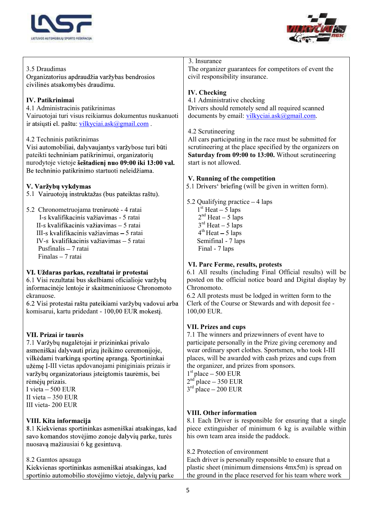



## 3. Insurance 3.5 Draudimas The organizer guarantees for competitors of event the civil responsibility insurance. Organizatorius apdraudžia varžybas bendrosios civilinės atsakomybės draudimu. IV. Checking IV. Patikrinimai 4.1 Administrative checking 4.1 Administracinis patikrinimas Drivers should remotely send all required scanned Vairuotojai turi visus reikiamus dokumentus nuskanuoti documents by email: vilkyciai.ask@gmail.com. ir atsiųsti el. paštu: vilkyciai.ask@gmail.com . 4.2 Scrutineering 4.2 Techninis patikrinimas All cars participating in the race must be submitted for Visi automobiliai, dalyvaujantys varžybose turi būti scrutineering at the place specified by the organizers on pateikti techniniam patikrinimui, organizatorių Saturday from 09:00 to 13:00. Without scrutineering nurodytoje vietoje šeštadieni nuo 09:00 iki 13:00 val. start is not allowed. Be techninio patikrinimo startuoti neleidžiama. V. Running of the competition 5.1 Drivers' briefing (will be given in written form). V. Varžvbu vykdymas 5.1 Vairuotojų instruktažas (bus pateiktas raštu). 5.2 Qualifying practice  $-4$  laps  $1<sup>st</sup>$  Heat  $-5$  laps 5.2 Chronometruojama treniruotė - 4 ratai  $2<sup>nd</sup>$  Heat  $-5$  laps I-s kvalifikacinis važiavimas - 5 ratai  $3<sup>rd</sup>$  Heat  $-5$  laps II-s kvalifikacinis važiavimas – 5 ratai  $4<sup>th</sup>$  Heat  $-5$  laps III-s kvalifikacinis važiavimas – 5 ratai IV-s kvalifikacinis važiavimas – 5 ratai Semifinal - 7 laps Pusfinalis - 7 ratai Final - 7 laps Finalas  $-7$  ratai VI. Parc Ferme, results, protests VI. Uždaras parkas, rezultatai ir protestai 6.1 All results (including Final Official results) will be 6.1 Visi rezultatai bus skelbiami oficialioje varžybų posted on the official notice board and Digital display by informacinėje lentoje ir skaitmeniniuose Chronomoto Chronomoto. ekranuose. 6.2 All protests must be lodged in written form to the 6.2 Visi protestai raštu pateikiami varžybu vadovui arba Clerk of the Course or Stewards and with deposit fee komisarui, kartu pridedant - 100,00 EUR mokestj. 100,00 EUR. VII. Prizes and cups 7.1 The winners and prizewinners of event have to VII. Prizai ir taurės participate personally in the Prize giving ceremony and 7.1 Varžybų nugalėtojai ir prizininkai privalo asmeniškai dalyvauti prizų įteikimo ceremonijoje, wear ordinary sport clothes. Sportsmen, who took I-III vilkėdami tvarkingą sportinę aprangą. Sportininkai places, will be awarded with cash prizes and cups from užėmę I-III vietas apdovanojami piniginiais prizais ir the organizer, and prizes from sponsors.  $1<sup>st</sup>$  place  $-500$  EUR varžybų organizatoriaus įsteigtomis taurėmis, bei rėmėjų prizais.  $2<sup>nd</sup>$  place – 350 EUR I vieta  $-500$  EUR  $3<sup>rd</sup>$  place  $-200$  EUR II vieta  $-350$  EUR III vieta- 200 EUR VIII. Other information VIII. Kita informacija 8.1 Each Driver is responsible for ensuring that a single 8.1 Kiekvienas sportininkas asmeniškai atsakingas, kad piece extinguisher of minimum 6 kg is available within his own team area inside the paddock. savo komandos stovėjimo zonoje dalyvių parke, turės nuosavą mažiausiai 6 kg gesintuvą. 8.2 Protection of environment 8.2 Gamtos apsauga Each driver is personally responsible to ensure that a Kiekvienas sportininkas asmeniškai atsakingas, kad plastic sheet (minimum dimensions 4mx5m) is spread on sportinio automobilio stovėjimo vietoje, dalyvių parke the ground in the place reserved for his team where work